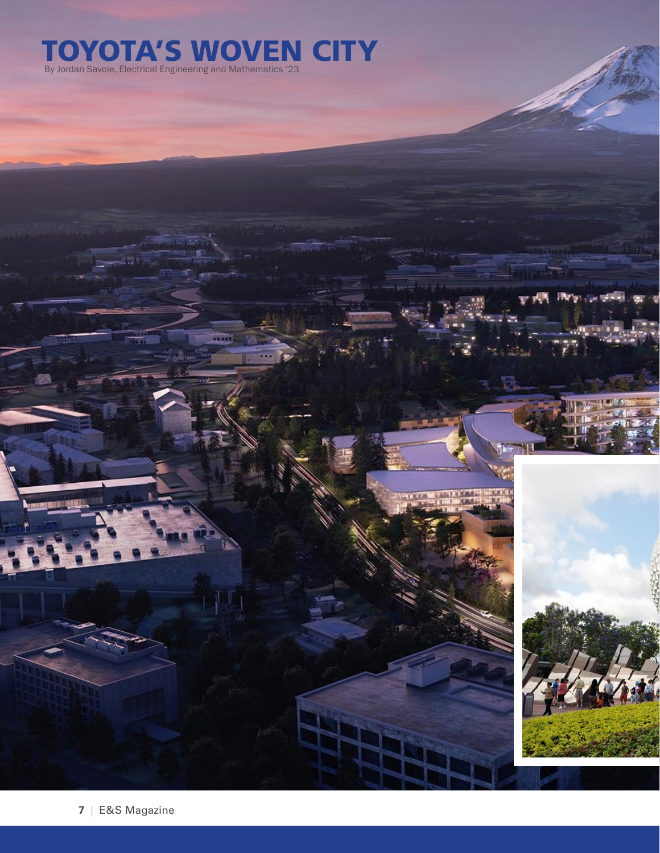## TOYOTA'S WOVEN CITY By Jordan Savoie, Electrical Engineering and Mathematics '23

**7** | E&S Magazine